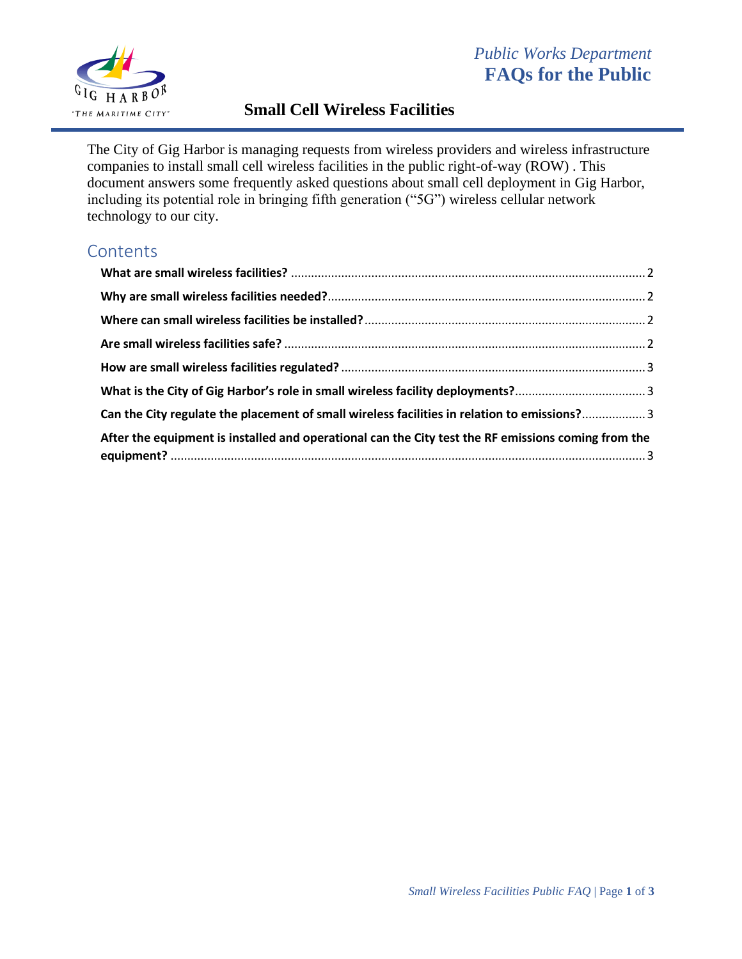

# *Public Works Department* **FAQs for the Public**

# **Small Cell Wireless Facilities**

The City of Gig Harbor is managing requests from wireless providers and wireless infrastructure companies to install small cell wireless facilities in the public right-of-way (ROW) . This document answers some frequently asked questions about small cell deployment in Gig Harbor, including its potential role in bringing fifth generation ("5G") wireless cellular network technology to our city.

# **Contents**

| Can the City regulate the placement of small wireless facilities in relation to emissions? 3        |  |
|-----------------------------------------------------------------------------------------------------|--|
| After the equipment is installed and operational can the City test the RF emissions coming from the |  |
|                                                                                                     |  |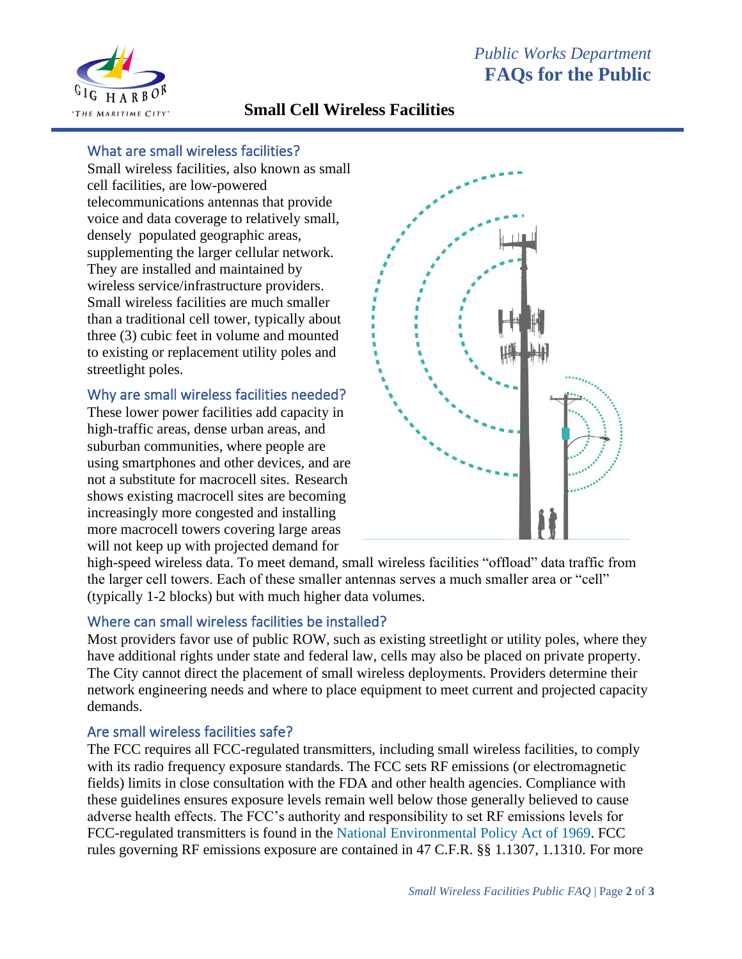

## **Small Cell Wireless Facilities**

#### <span id="page-1-0"></span>What are small wireless facilities?

Small wireless facilities, also known as small cell facilities, are low-powered telecommunications antennas that provide voice and data coverage to relatively small, densely populated geographic areas, supplementing the larger cellular network. They are installed and maintained by wireless service/infrastructure providers. Small wireless facilities are much smaller than a traditional cell tower, typically about three (3) cubic feet in volume and mounted to existing or replacement utility poles and streetlight poles.

### <span id="page-1-1"></span>Why are small wireless facilities needed?

These lower power facilities add capacity in high-traffic areas, dense urban areas, and suburban communities, where people are using smartphones and other devices, and are not a substitute for macrocell sites. Research shows existing macrocell sites are becoming increasingly more congested and installing more macrocell towers covering large areas will not keep up with projected demand for



high-speed wireless data. To meet demand, small wireless facilities "offload" data traffic from the larger cell towers. Each of these smaller antennas serves a much smaller area or "cell" (typically 1-2 blocks) but with much higher data volumes.

#### <span id="page-1-2"></span>Where can small wireless facilities be installed?

Most providers favor use of public ROW, such as existing streetlight or utility poles, where they have additional rights under state and federal law, cells may also be placed on private property. The City cannot direct the placement of small wireless deployments. Providers determine their network engineering needs and where to place equipment to meet current and projected capacity demands.

#### <span id="page-1-3"></span>Are small wireless facilities safe?

The FCC requires all FCC-regulated transmitters, including small wireless facilities, to comply with its radio frequency exposure standards. The FCC sets RF emissions (or electromagnetic fields) limits in close consultation with the FDA and other health agencies. Compliance with these guidelines ensures exposure levels remain well below those generally believed to cause adverse health effects. The FCC's authority and responsibility to set RF emissions levels for FCC-regulated transmitters is found in the [National Environmental Policy Act of 1969.](https://www.energy.gov/sites/default/files/nepapub/nepa_documents/RedDont/Req-NEPA.pdf) FCC rules governing RF emissions exposure are contained in 47 C.F.R. §§ 1.1307, 1.1310. For more